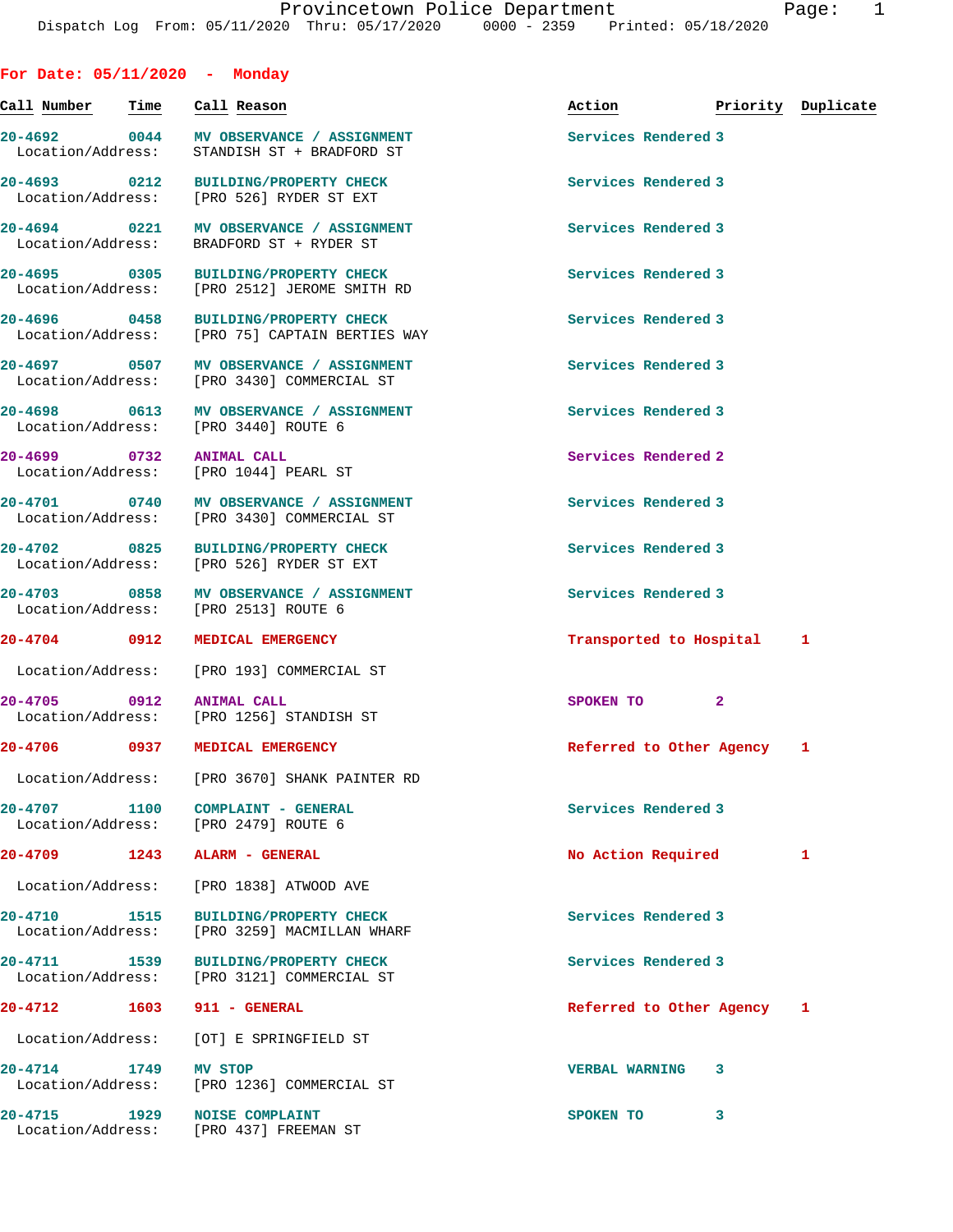**For Date: 05/11/2020 - Monday**

| Call Number - Time                | Call Reason                                                                            | Action <b>Priority</b> Duplicate |   |   |
|-----------------------------------|----------------------------------------------------------------------------------------|----------------------------------|---|---|
| 20-4692 0044<br>Location/Address: | MV OBSERVANCE / ASSIGNMENT<br>STANDISH ST + BRADFORD ST                                | Services Rendered 3              |   |   |
| 20-4693 0212                      | BUILDING/PROPERTY CHECK<br>Location/Address: [PRO 526] RYDER ST EXT                    | Services Rendered 3              |   |   |
|                                   | 20-4694 0221 MV OBSERVANCE / ASSIGNMENT<br>Location/Address: BRADFORD ST + RYDER ST    | Services Rendered 3              |   |   |
| 20-4695 0305                      | BUILDING/PROPERTY CHECK<br>Location/Address: [PRO 2512] JEROME SMITH RD                | Services Rendered 3              |   |   |
|                                   | 20-4696 0458 BUILDING/PROPERTY CHECK<br>Location/Address: [PRO 75] CAPTAIN BERTIES WAY | Services Rendered 3              |   |   |
|                                   | 20-4697 0507 MV OBSERVANCE / ASSIGNMENT<br>Location/Address: [PRO 3430] COMMERCIAL ST  | Services Rendered 3              |   |   |
|                                   | 20-4698 0613 MV OBSERVANCE / ASSIGNMENT<br>Location/Address: [PRO 3440] ROUTE 6        | Services Rendered 3              |   |   |
| 20-4699 0732 ANIMAL CALL          | Location/Address: [PRO 1044] PEARL ST                                                  | Services Rendered 2              |   |   |
|                                   | 20-4701 0740 MV OBSERVANCE / ASSIGNMENT<br>Location/Address: [PRO 3430] COMMERCIAL ST  | Services Rendered 3              |   |   |
| 20-4702 0825                      | <b>BUILDING/PROPERTY CHECK</b><br>Location/Address: [PRO 526] RYDER ST EXT             | Services Rendered 3              |   |   |
| 20-4703 0858                      | MV OBSERVANCE / ASSIGNMENT<br>Location/Address: [PRO 2513] ROUTE 6                     | Services Rendered 3              |   |   |
| 20-4704 0912                      | <b>MEDICAL EMERGENCY</b>                                                               | Transported to Hospital 1        |   |   |
|                                   | Location/Address: [PRO 193] COMMERCIAL ST                                              |                                  |   |   |
| 20-4705 0912                      | <b>ANIMAL CALL</b><br>Location/Address: [PRO 1256] STANDISH ST                         | SPOKEN TO 2                      |   |   |
| 20-4706 0937                      | MEDICAL EMERGENCY                                                                      | Referred to Other Agency 1       |   |   |
|                                   | Location/Address: [PRO 3670] SHANK PAINTER RD                                          |                                  |   |   |
| 20-4707 1100                      | COMPLAINT - GENERAL<br>Location/Address: [PRO 2479] ROUTE 6                            | Services Rendered 3              |   |   |
| 20-4709 1243                      | ALARM - GENERAL                                                                        | No Action Required               |   | 1 |
| Location/Address:                 | [PRO 1838] ATWOOD AVE                                                                  |                                  |   |   |
| 20-4710 1515<br>Location/Address: | <b>BUILDING/PROPERTY CHECK</b><br>[PRO 3259] MACMILLAN WHARF                           | Services Rendered 3              |   |   |
| 1539<br>20-4711                   | <b>BUILDING/PROPERTY CHECK</b><br>Location/Address: [PRO 3121] COMMERCIAL ST           | Services Rendered 3              |   |   |
| 20-4712 1603                      | 911 - GENERAL                                                                          | Referred to Other Agency 1       |   |   |
| Location/Address:                 | [OT] E SPRINGFIELD ST                                                                  |                                  |   |   |
| 20-4714 1749<br>Location/Address: | MV STOP<br>[PRO 1236] COMMERCIAL ST                                                    | <b>VERBAL WARNING</b>            | 3 |   |
| 20-4715 1929<br>Location/Address: | <b>NOISE COMPLAINT</b><br>[PRO 437] FREEMAN ST                                         | SPOKEN TO                        | 3 |   |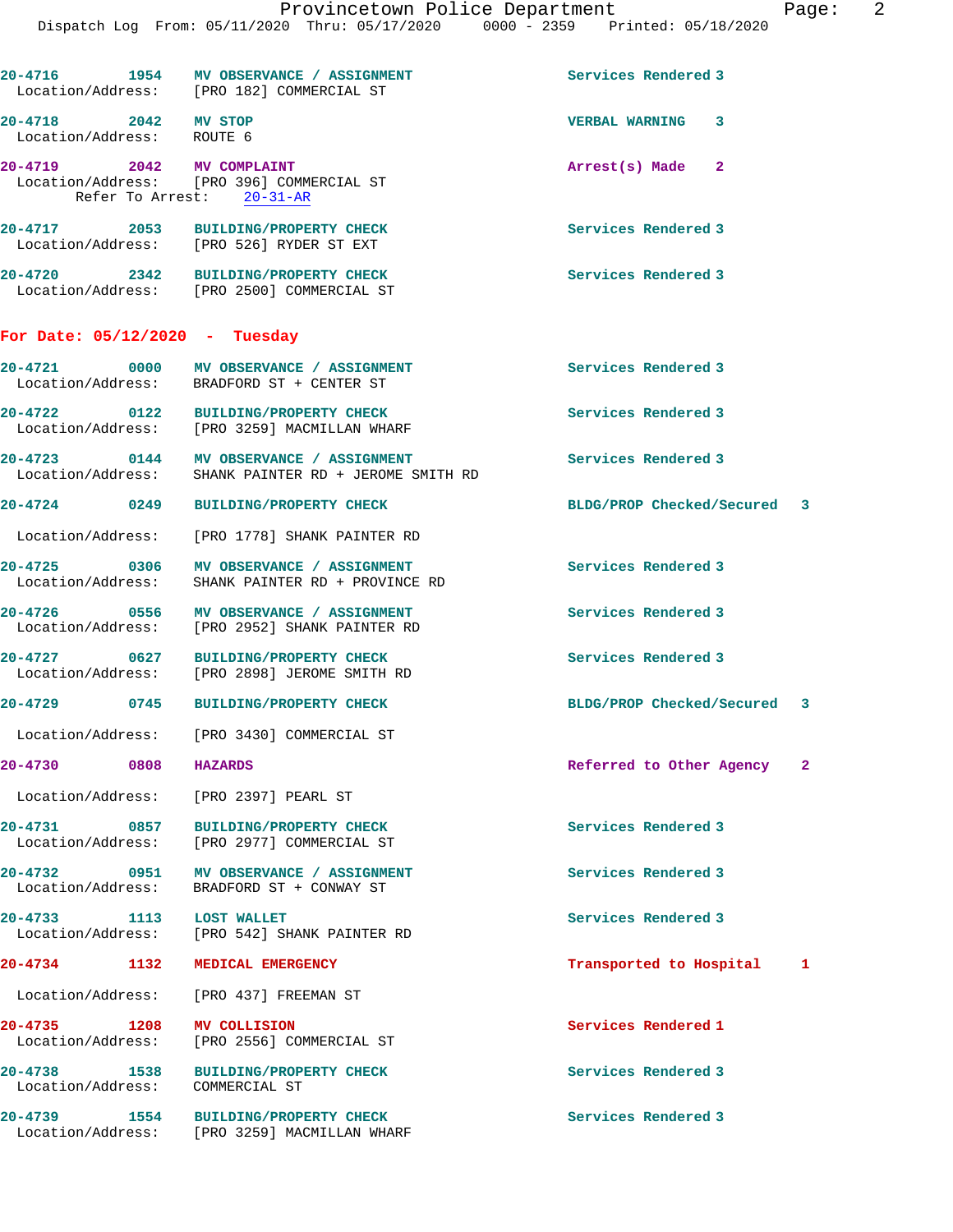|                                                   | 20-4716 1954 MV OBSERVANCE / ASSIGNMENT<br>Location/Address: [PRO 182] COMMERCIAL ST            | Services Rendered 3         |                            |
|---------------------------------------------------|-------------------------------------------------------------------------------------------------|-----------------------------|----------------------------|
| 20-4718 2042 MV STOP<br>Location/Address: ROUTE 6 |                                                                                                 | <b>VERBAL WARNING</b><br>3  |                            |
| 20-4719 2042 MV COMPLAINT                         | Location/Address: [PRO 396] COMMERCIAL ST<br>Refer To Arrest: 20-31-AR                          | Arrest(s) Made 2            |                            |
|                                                   | 20-4717 2053 BUILDING/PROPERTY CHECK<br>Location/Address: [PRO 526] RYDER ST EXT                | Services Rendered 3         |                            |
|                                                   | 20-4720 2342 BUILDING/PROPERTY CHECK<br>Location/Address: [PRO 2500] COMMERCIAL ST              | Services Rendered 3         |                            |
| For Date: 05/12/2020 - Tuesday                    |                                                                                                 |                             |                            |
|                                                   | 20-4721 0000 MV OBSERVANCE / ASSIGNMENT<br>Location/Address: BRADFORD ST + CENTER ST            | Services Rendered 3         |                            |
|                                                   | 20-4722 0122 BUILDING/PROPERTY CHECK<br>Location/Address: [PRO 3259] MACMILLAN WHARF            | Services Rendered 3         |                            |
|                                                   | 20-4723 0144 MV OBSERVANCE / ASSIGNMENT<br>Location/Address: SHANK PAINTER RD + JEROME SMITH RD | Services Rendered 3         |                            |
| 20-4724 0249                                      | <b>BUILDING/PROPERTY CHECK</b>                                                                  | BLDG/PROP Checked/Secured 3 |                            |
|                                                   | Location/Address: [PRO 1778] SHANK PAINTER RD                                                   |                             |                            |
| 20-4725 0306<br>Location/Address:                 | MV OBSERVANCE / ASSIGNMENT<br>SHANK PAINTER RD + PROVINCE RD                                    | Services Rendered 3         |                            |
|                                                   | 20-4726 0556 MV OBSERVANCE / ASSIGNMENT<br>Location/Address: [PRO 2952] SHANK PAINTER RD        | Services Rendered 3         |                            |
| 20-4727 0627                                      | BUILDING/PROPERTY CHECK<br>Location/Address: [PRO 2898] JEROME SMITH RD                         | Services Rendered 3         |                            |
|                                                   | 20-4729 0745 BUILDING/PROPERTY CHECK                                                            | BLDG/PROP Checked/Secured 3 |                            |
|                                                   | Location/Address: [PRO 3430] COMMERCIAL ST                                                      |                             |                            |
| 20-4730 0808 HAZARDS                              |                                                                                                 | Referred to Other Agency    | $\overline{\phantom{a}}^2$ |
|                                                   | Location/Address: [PRO 2397] PEARL ST                                                           |                             |                            |
|                                                   | 20-4731 0857 BUILDING/PROPERTY CHECK<br>Location/Address: [PRO 2977] COMMERCIAL ST              | Services Rendered 3         |                            |
| 20-4732                                           | 0951 MV OBSERVANCE / ASSIGNMENT<br>Location/Address: BRADFORD ST + CONWAY ST                    | Services Rendered 3         |                            |
| 20-4733 1113 LOST WALLET                          | Location/Address: [PRO 542] SHANK PAINTER RD                                                    | Services Rendered 3         |                            |
| 20-4734 1132 MEDICAL EMERGENCY                    |                                                                                                 | Transported to Hospital     | 1                          |
|                                                   | Location/Address: [PRO 437] FREEMAN ST                                                          |                             |                            |
| 20-4735 1208                                      | <b>MV COLLISION</b><br>Location/Address: [PRO 2556] COMMERCIAL ST                               | Services Rendered 1         |                            |
| 20-4738 1538<br>Location/Address: COMMERCIAL ST   | <b>BUILDING/PROPERTY CHECK</b>                                                                  | Services Rendered 3         |                            |
|                                                   | 20-4739 1554 BUILDING/PROPERTY CHECK<br>Location/Address: [PRO 3259] MACMILLAN WHARF            | Services Rendered 3         |                            |
|                                                   |                                                                                                 |                             |                            |
|                                                   |                                                                                                 |                             |                            |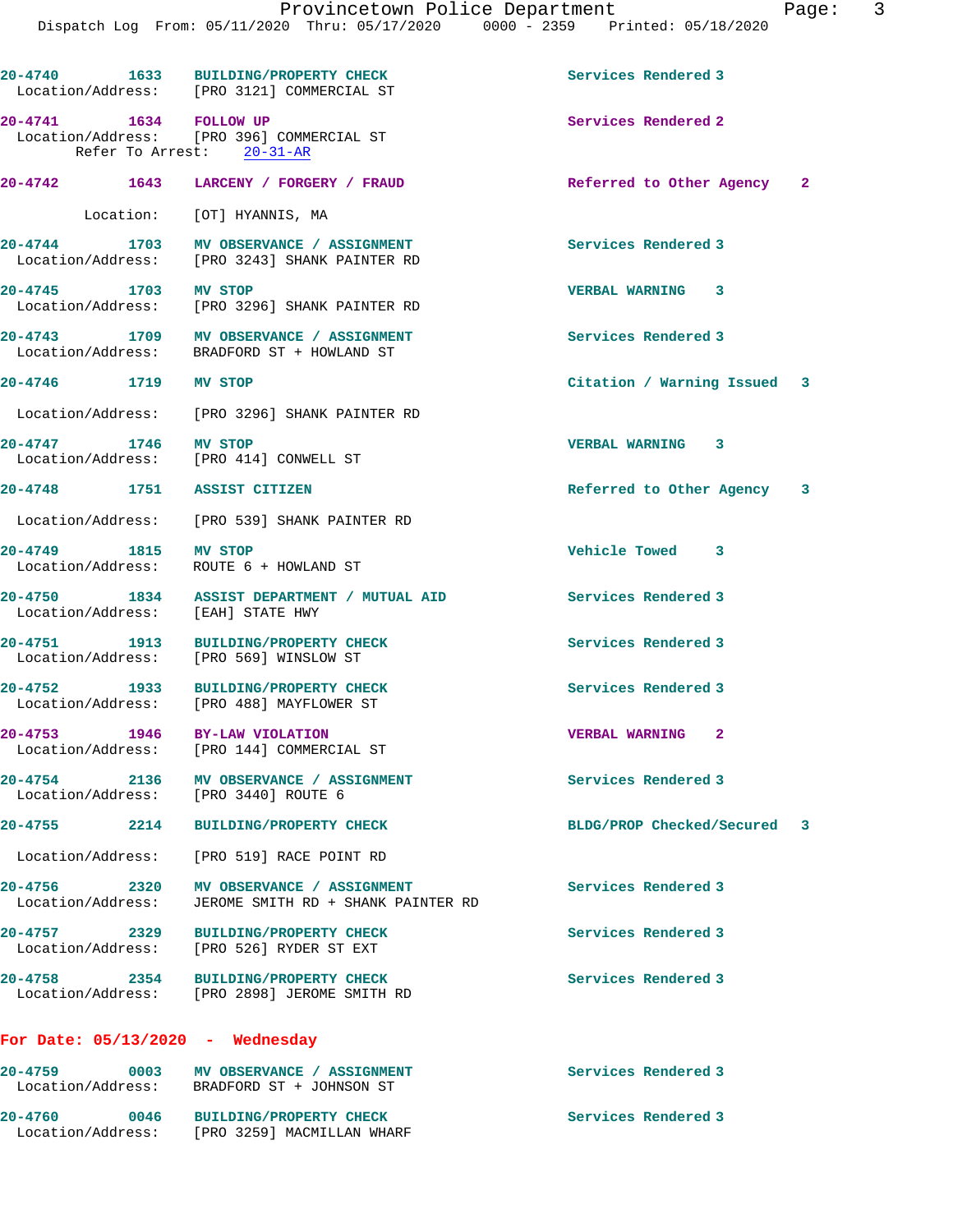|                                    | 20-4740 1633 BUILDING/PROPERTY CHECK<br>Location/Address: [PRO 3121] COMMERCIAL ST              | Services Rendered 3         |  |
|------------------------------------|-------------------------------------------------------------------------------------------------|-----------------------------|--|
| 20-4741 1634 FOLLOW UP             | Location/Address: [PRO 396] COMMERCIAL ST<br>Refer To Arrest: 20-31-AR                          | Services Rendered 2         |  |
|                                    | 20-4742 1643 LARCENY / FORGERY / FRAUD                                                          | Referred to Other Agency 2  |  |
|                                    | Location: [OT] HYANNIS, MA                                                                      |                             |  |
|                                    | 20-4744 1703 MV OBSERVANCE / ASSIGNMENT<br>Location/Address: [PRO 3243] SHANK PAINTER RD        | Services Rendered 3         |  |
| 20-4745 1703 MV STOP               | Location/Address: [PRO 3296] SHANK PAINTER RD                                                   | <b>VERBAL WARNING 3</b>     |  |
|                                    | 20-4743 1709 MV OBSERVANCE / ASSIGNMENT<br>Location/Address: BRADFORD ST + HOWLAND ST           | Services Rendered 3         |  |
| 20-4746 1719 MV STOP               |                                                                                                 | Citation / Warning Issued 3 |  |
|                                    | Location/Address: [PRO 3296] SHANK PAINTER RD                                                   |                             |  |
| 20-4747 1746 MV STOP               | Location/Address: [PRO 414] CONWELL ST                                                          | VERBAL WARNING 3            |  |
| 20-4748 1751 ASSIST CITIZEN        |                                                                                                 | Referred to Other Agency 3  |  |
|                                    | Location/Address: [PRO 539] SHANK PAINTER RD                                                    |                             |  |
| 20-4749 1815 MV STOP               | Location/Address: ROUTE 6 + HOWLAND ST                                                          | Vehicle Towed 3             |  |
| Location/Address: [EAH] STATE HWY  | 20-4750 1834 ASSIST DEPARTMENT / MUTUAL AID                                                     | Services Rendered 3         |  |
|                                    | 20-4751 1913 BUILDING/PROPERTY CHECK<br>Location/Address: [PRO 569] WINSLOW ST                  | Services Rendered 3         |  |
|                                    | 20-4752 1933 BUILDING/PROPERTY CHECK<br>Location/Address: [PRO 488] MAYFLOWER ST                | Services Rendered 3         |  |
| $20 - 4753$                        | 1946 BY-LAW VIOLATION<br>Location/Address: [PRO 144] COMMERCIAL ST                              | <b>VERBAL WARNING 2</b>     |  |
|                                    | 20-4754 2136 MV OBSERVANCE / ASSIGNMENT<br>Location/Address: [PRO 3440] ROUTE 6                 | Services Rendered 3         |  |
| $20 - 4755$                        | 2214 BUILDING/PROPERTY CHECK                                                                    | BLDG/PROP Checked/Secured 3 |  |
|                                    | Location/Address: [PRO 519] RACE POINT RD                                                       |                             |  |
|                                    | 20-4756 2320 MV OBSERVANCE / ASSIGNMENT<br>Location/Address: JEROME SMITH RD + SHANK PAINTER RD | Services Rendered 3         |  |
|                                    | 20-4757 2329 BUILDING/PROPERTY CHECK<br>Location/Address: [PRO 526] RYDER ST EXT                | Services Rendered 3         |  |
|                                    | 20-4758 2354 BUILDING/PROPERTY CHECK<br>Location/Address: [PRO 2898] JEROME SMITH RD            | Services Rendered 3         |  |
| For Date: $05/13/2020$ - Wednesday |                                                                                                 |                             |  |
|                                    | 20-4759 0003 MV OBSERVANCE / ASSIGNMENT<br>Location/Address: BRADFORD ST + JOHNSON ST           | Services Rendered 3         |  |
|                                    |                                                                                                 |                             |  |

**20-4760 0046 BUILDING/PROPERTY CHECK Services Rendered 3**  Location/Address: [PRO 3259] MACMILLAN WHARF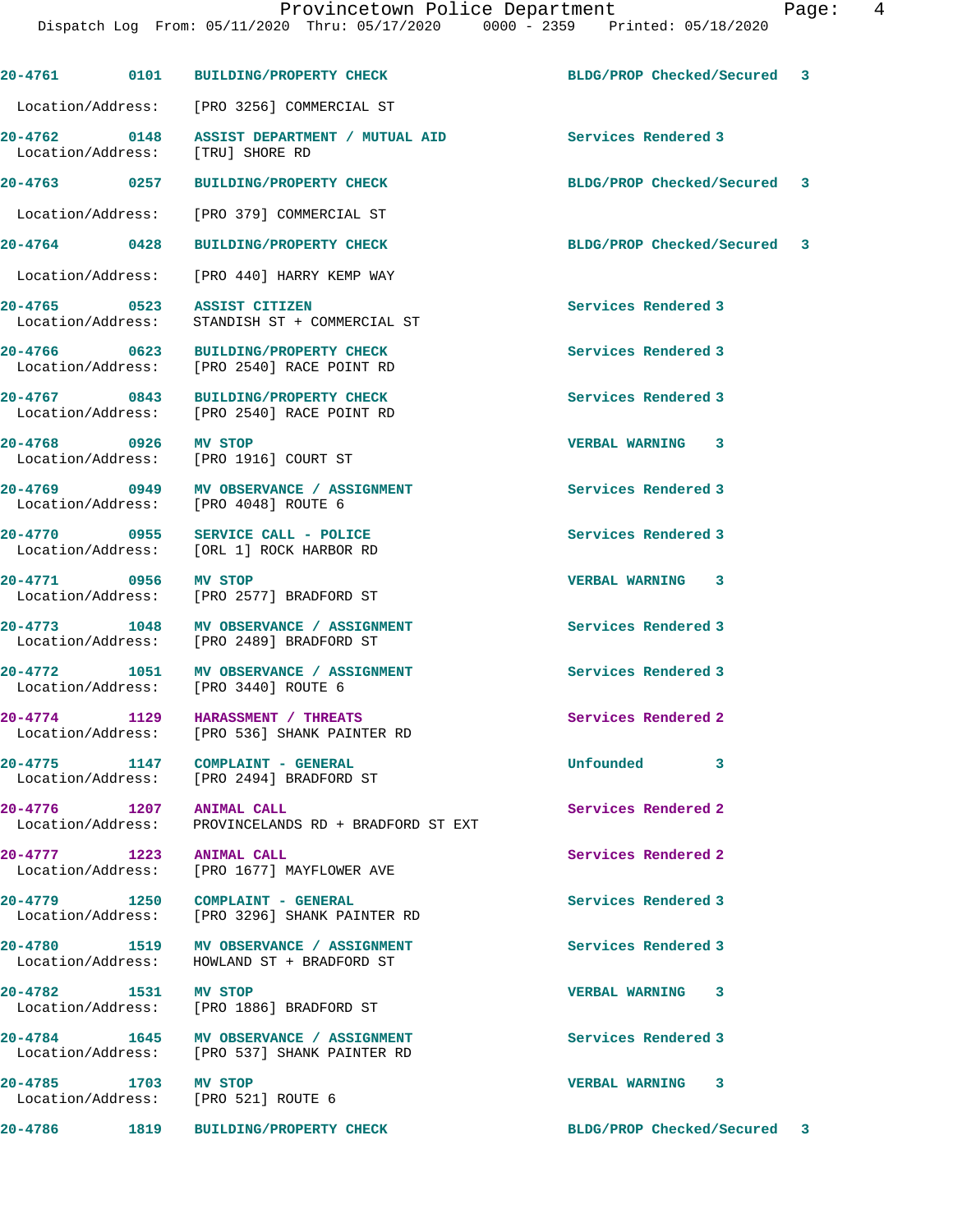**20-4761 0101 BUILDING/PROPERTY CHECK BLDG/PROP Checked/Secured 3** Location/Address: [PRO 3256] COMMERCIAL ST **20-4762 0148 ASSIST DEPARTMENT / MUTUAL AID Services Rendered 3**  Location/Address: **20-4763 0257 BUILDING/PROPERTY CHECK BLDG/PROP Checked/Secured 3** Location/Address: [PRO 379] COMMERCIAL ST **20-4764 0428 BUILDING/PROPERTY CHECK BLDG/PROP Checked/Secured 3** Location/Address: [PRO 440] HARRY KEMP WAY **20-4765 0523 ASSIST CITIZEN Services Rendered 3**  Location/Address: STANDISH ST + COMMERCIAL ST **20-4766 0623 BUILDING/PROPERTY CHECK Services Rendered 3**  Location/Address: [PRO 2540] RACE POINT RD **20-4767 0843 BUILDING/PROPERTY CHECK Services Rendered 3**  Location/Address: [PRO 2540] RACE POINT RD **20-4768 0926 MV STOP VERBAL WARNING 3**  Location/Address: [PRO 1916] COURT ST **20-4769 0949 MV OBSERVANCE / ASSIGNMENT Services Rendered 3**  Location/Address: [PRO 4048] ROUTE 6 **20-4770 0955 SERVICE CALL - POLICE Services Rendered 3**  Location/Address: [ORL 1] ROCK HARBOR RD **20-4771 0956 MV STOP VERBAL WARNING 3**  Location/Address: [PRO 2577] BRADFORD ST

**20-4773 1048 MV OBSERVANCE / ASSIGNMENT Services Rendered 3**  Location/Address: [PRO 2489] BRADFORD ST

**20-4772 1051 MV OBSERVANCE / ASSIGNMENT Services Rendered 3**  Location/Address: [PRO 3440] ROUTE 6

**20-4774 1129 HARASSMENT / THREATS Services Rendered 2**  Location/Address: [PRO 536] SHANK PAINTER RD

**20-4775 1147 COMPLAINT - GENERAL Unfounded 3**  Location/Address: [PRO 2494] BRADFORD ST

**20-4776 1207 ANIMAL CALL Services Rendered 2**  Location/Address: PROVINCELANDS RD + BRADFORD ST EXT

**20-4777 1223 ANIMAL CALL Services Rendered 2**<br>
Location/Address: [PRO 1677] MAYFLOWER AVE [PRO 1677] MAYFLOWER AVE

**20-4779 1250 COMPLAINT - GENERAL Services Rendered 3**  Location/Address: [PRO 3296] SHANK PAINTER RD

**20-4780 1519 MV OBSERVANCE / ASSIGNMENT Services Rendered 3**  Location/Address: HOWLAND ST + BRADFORD ST

**20-4782 1531 MV STOP VERBAL WARNING 3**  Location/Address: [PRO 1886] BRADFORD ST

**20-4784 1645 MV OBSERVANCE / ASSIGNMENT Services Rendered 3**  Location/Address: [PRO 537] SHANK PAINTER RD

**20-4786 1819 BUILDING/PROPERTY CHECK BLDG/PROP Checked/Secured 3**

**20-4785 1703 MV STOP VERBAL WARNING 3**  Location/Address: [PRO 521] ROUTE 6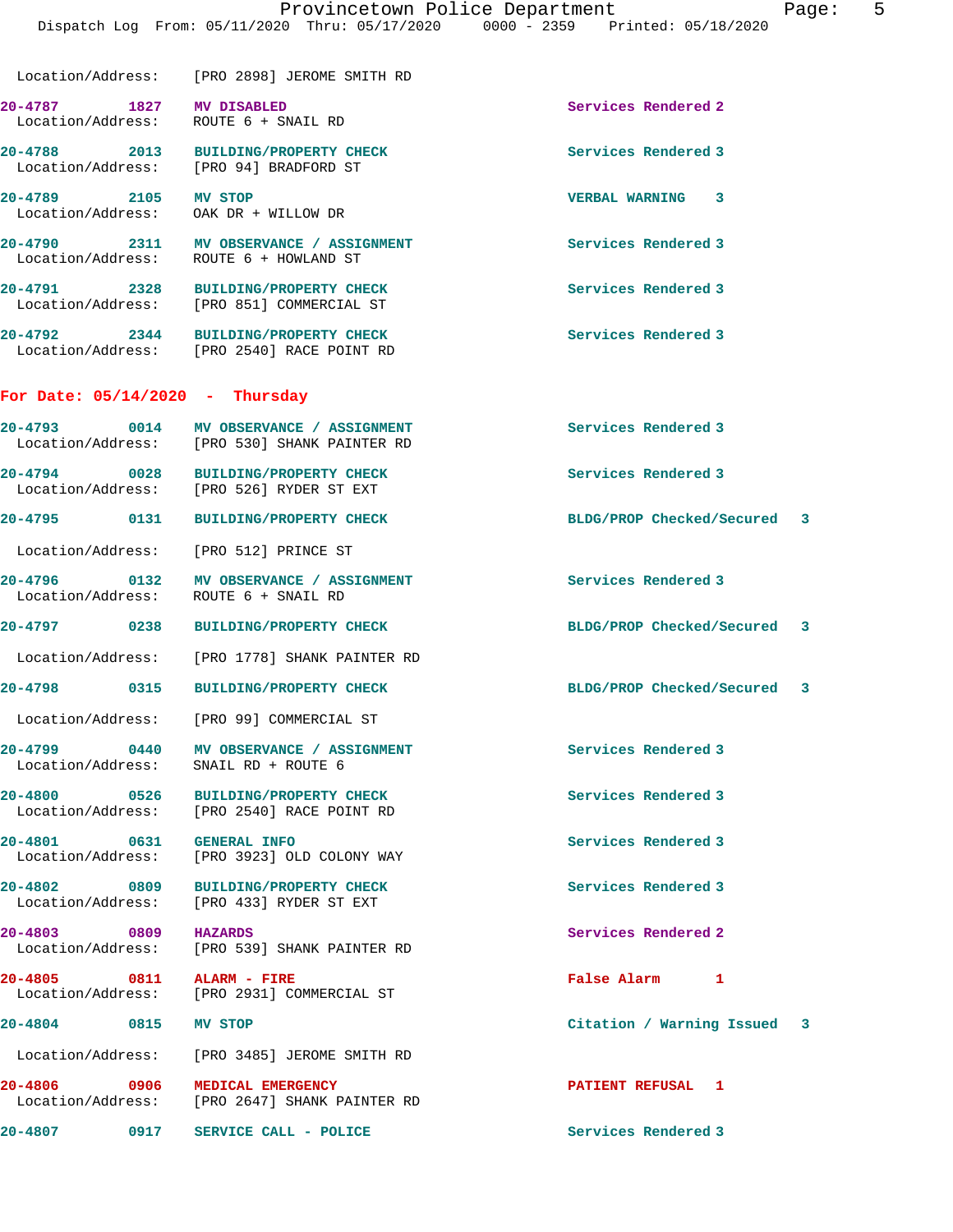Location/Address: [PRO 2898] JEROME SMITH RD **20-4787 1827 MV DISABLED Services Rendered 2**  Location/Address: ROUTE 6 + SNAIL RD **20-4788 2013 BUILDING/PROPERTY CHECK Services Rendered 3**  Location/Address: [PRO 94] BRADFORD ST **20-4789 2105 MV STOP VERBAL WARNING 3**  Location/Address: OAK DR + WILLOW DR **20-4790 2311 MV OBSERVANCE / ASSIGNMENT Services Rendered 3**  Location/Address: ROUTE 6 + HOWLAND ST

 Location/Address: [PRO 851] COMMERCIAL ST **20-4792 2344 BUILDING/PROPERTY CHECK Services Rendered 3**  Location/Address: [PRO 2540] RACE POINT RD

**20-4791 2328 BUILDING/PROPERTY CHECK Services Rendered 3** 

### **For Date: 05/14/2020 - Thursday**

| $20 - 4793$<br>Location/Address: | 0014 | MV OBSERVANCE / ASSIGNMENT<br>[PRO 530] SHANK PAINTER RD | Services Rendered 3         |  |
|----------------------------------|------|----------------------------------------------------------|-----------------------------|--|
| $20 - 4794$<br>Location/Address: | 0028 | <b>BUILDING/PROPERTY CHECK</b><br>[PRO 526] RYDER ST EXT | Services Rendered 3         |  |
| $20 - 4795$                      | 0131 | <b>BUILDING/PROPERTY CHECK</b>                           | BLDG/PROP Checked/Secured 3 |  |
| Location/Address:                |      | [PRO 512] PRINCE ST                                      |                             |  |

**20-4796 0132 MV OBSERVANCE / ASSIGNMENT Services Rendered 3**  Location/Address: ROUTE 6 + SNAIL RD

Location/Address: [PRO 1778] SHANK PAINTER RD

**20-4798 0315 BUILDING/PROPERTY CHECK BLDG/PROP Checked/Secured 3**

Location/Address: [PRO 99] COMMERCIAL ST

**20-4799 0440 MV OBSERVANCE / ASSIGNMENT Services Rendered 3**  Location/Address: SNAIL RD + ROUTE 6

20-4800 0526 BUILDING/PROPERTY CHECK Services Rendered 3<br>
Location/Address: [PRO 2540] RACE POINT RD [PRO 2540] RACE POINT RD

**20-4801 0631 GENERAL INFO Services Rendered 3**  Location/Address: [PRO 3923] OLD COLONY WAY

**20-4802 0809 BUILDING/PROPERTY CHECK Services Rendered 3**  Location/Address: [PRO 433] RYDER ST EXT

**20-4803 0809 HAZARDS Services Rendered 2**  Location/Address: [PRO 539] SHANK PAINTER RD

**20-4805 0811 ALARM - FIRE False Alarm 1**  Location/Address: [PRO 2931] COMMERCIAL ST

Location/Address: [PRO 3485] JEROME SMITH RD

**20-4806 0906 MEDICAL EMERGENCY PATIENT REFUSAL 1**  Location/Address: [PRO 2647] SHANK PAINTER RD

**20-4807 0917 SERVICE CALL - POLICE Services Rendered 3** 

**20-4797 0238 BUILDING/PROPERTY CHECK BLDG/PROP Checked/Secured 3**

**20-4804 0815 MV STOP Citation / Warning Issued 3**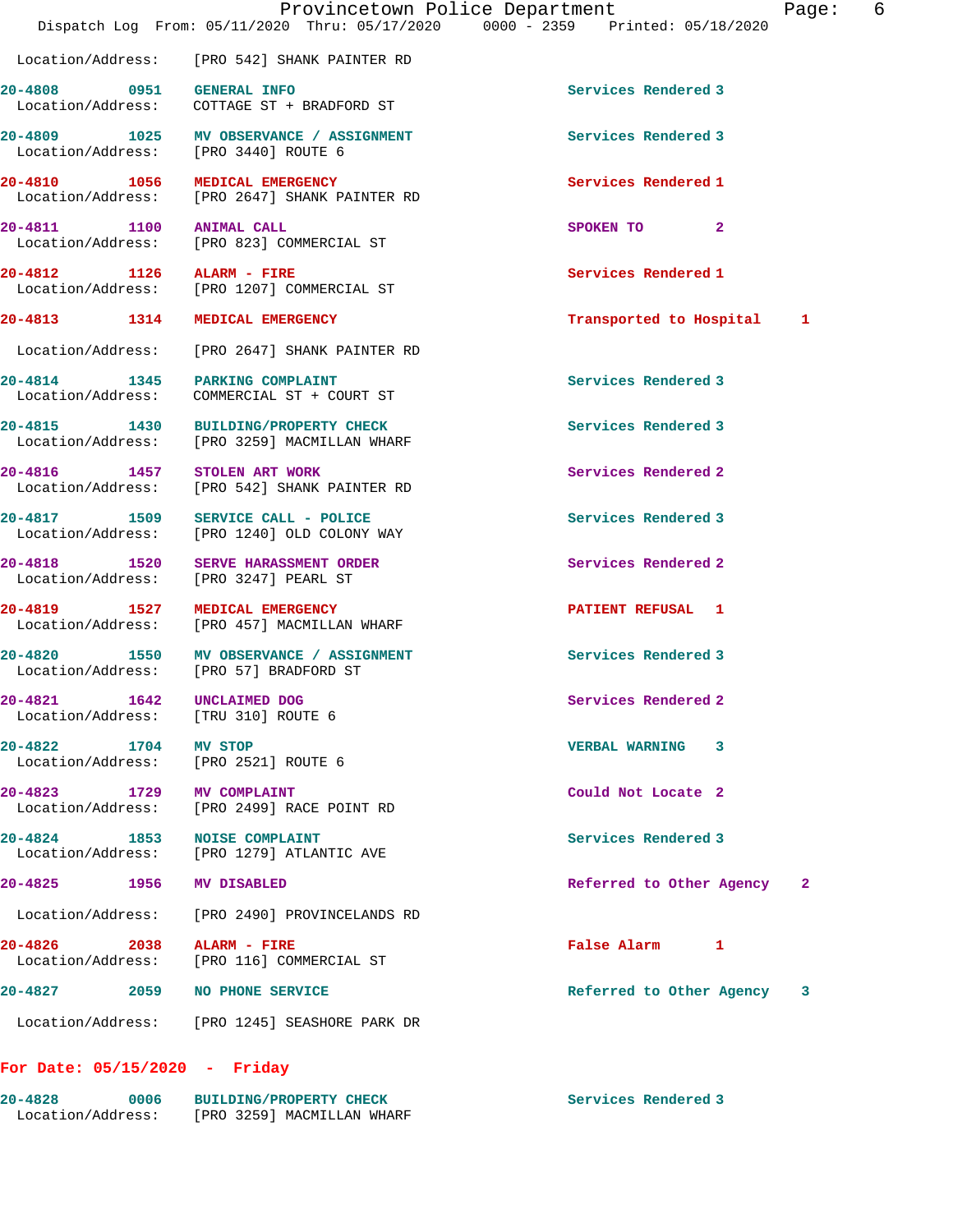|                                                | Provincetown Police Department<br>Dispatch Log From: 05/11/2020 Thru: 05/17/2020 0000 - 2359 Printed: 05/18/2020 |                           | 6<br>Page: |
|------------------------------------------------|------------------------------------------------------------------------------------------------------------------|---------------------------|------------|
|                                                | Location/Address: [PRO 542] SHANK PAINTER RD                                                                     |                           |            |
|                                                | 20-4808 0951 GENERAL INFO<br>Location/Address: COTTAGE ST + BRADFORD ST                                          | Services Rendered 3       |            |
|                                                | 20-4809 1025 MV OBSERVANCE / ASSIGNMENT<br>Location/Address: [PRO 3440] ROUTE 6                                  | Services Rendered 3       |            |
|                                                | 20-4810 1056 MEDICAL EMERGENCY<br>Location/Address: [PRO 2647] SHANK PAINTER RD                                  | Services Rendered 1       |            |
| 20-4811 1100 ANIMAL CALL                       | Location/Address: [PRO 823] COMMERCIAL ST                                                                        | SPOKEN TO 2               |            |
| 20-4812 1126 ALARM - FIRE                      | Location/Address: [PRO 1207] COMMERCIAL ST                                                                       | Services Rendered 1       |            |
|                                                | 20-4813 1314 MEDICAL EMERGENCY                                                                                   | Transported to Hospital 1 |            |
|                                                | Location/Address: [PRO 2647] SHANK PAINTER RD                                                                    |                           |            |
|                                                | 20-4814 1345 PARKING COMPLAINT<br>Location/Address: COMMERCIAL ST + COURT ST                                     | Services Rendered 3       |            |
|                                                | 20-4815 1430 BUILDING/PROPERTY CHECK<br>Location/Address: [PRO 3259] MACMILLAN WHARF                             | Services Rendered 3       |            |
|                                                | 20-4816 1457 STOLEN ART WORK<br>Location/Address: [PRO 542] SHANK PAINTER RD                                     | Services Rendered 2       |            |
|                                                | 20-4817 1509 SERVICE CALL - POLICE<br>Location/Address: [PRO 1240] OLD COLONY WAY                                | Services Rendered 3       |            |
|                                                | 20-4818 1520 SERVE HARASSMENT ORDER<br>Location/Address: [PRO 3247] PEARL ST                                     | Services Rendered 2       |            |
|                                                | 20-4819 1527 MEDICAL EMERGENCY<br>Location/Address: [PRO 457] MACMILLAN WHARF                                    | PATIENT REFUSAL 1         |            |
|                                                | 20-4820 1550 MV OBSERVANCE / ASSIGNMENT<br>Location/Address: [PRO 57] BRADFORD ST                                | Services Rendered 3       |            |
| $20 - 4821$<br>1642<br>Location/Address:       | UNCLAIMED DOG<br>[TRU 310] ROUTE 6                                                                               | Services Rendered 2       |            |
| 20-4822                                        | 1704 MV STOP<br>Location/Address: [PRO 2521] ROUTE 6                                                             | VERBAL WARNING 3          |            |
| 20-4823 1729 MV COMPLAINT<br>Location/Address: | [PRO 2499] RACE POINT RD                                                                                         | Could Not Locate 2        |            |
| 20-4824 1853                                   | <b>NOISE COMPLAINT</b><br>Location/Address: [PRO 1279] ATLANTIC AVE                                              | Services Rendered 3       |            |
| 20-4825 1956                                   | <b>MV DISABLED</b>                                                                                               | Referred to Other Agency  | -2         |
| Location/Address:                              | [PRO 2490] PROVINCELANDS RD                                                                                      |                           |            |
| 20-4826 2038 ALARM - FIRE<br>Location/Address: | [PRO 116] COMMERCIAL ST                                                                                          | False Alarm 1             |            |
|                                                | 20-4827 2059 NO PHONE SERVICE                                                                                    | Referred to Other Agency  | 3          |
|                                                | Location/Address: [PRO 1245] SEASHORE PARK DR                                                                    |                           |            |
|                                                |                                                                                                                  |                           |            |

**For Date: 05/15/2020 - Friday**

**20-4828 0006 BUILDING/PROPERTY CHECK Services Rendered 3**  Location/Address: [PRO 3259] MACMILLAN WHARF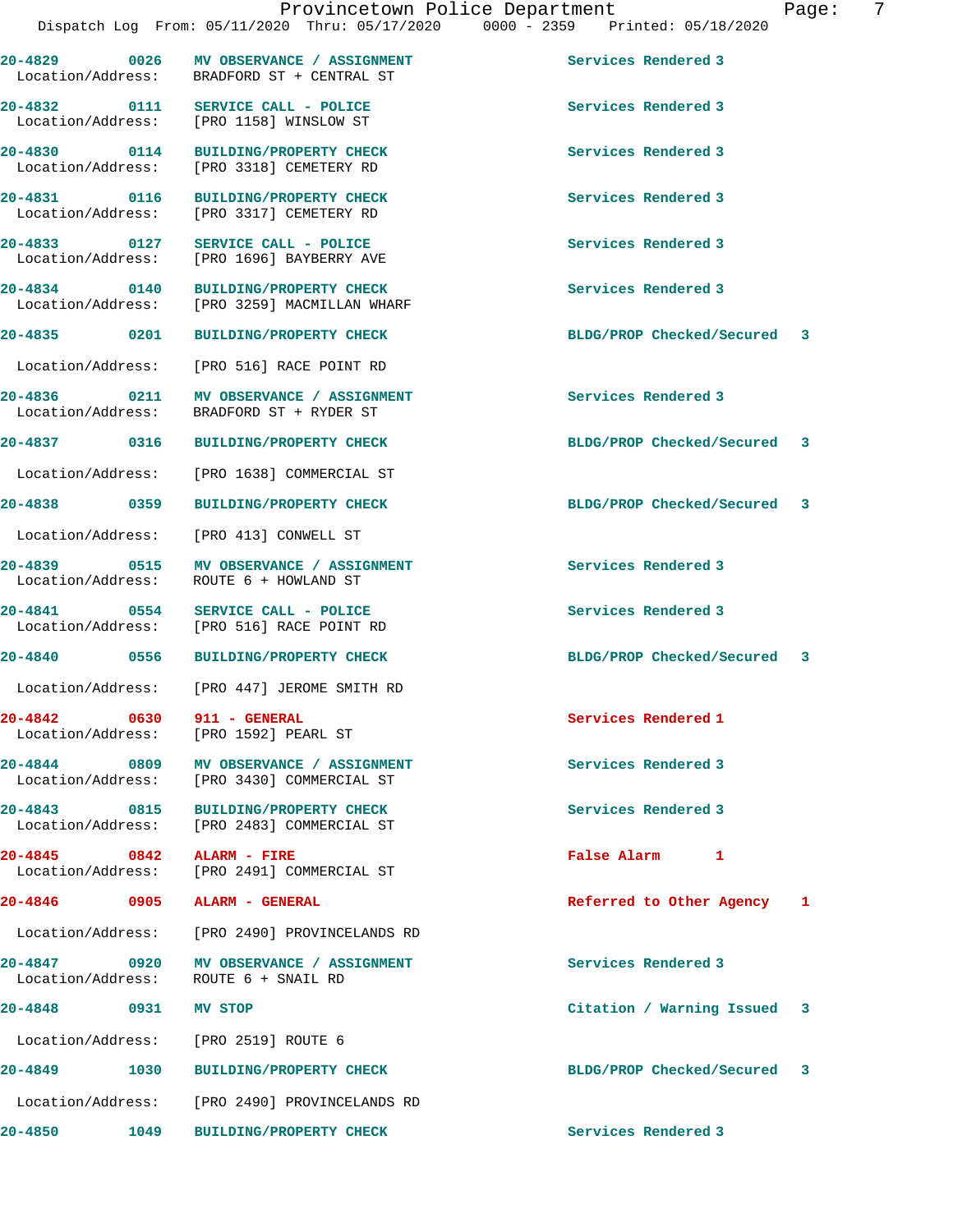|                              |      | Dispatch Log From: 05/11/2020 Thru: 05/17/2020         |  | $0000 - 2359$ | Printed: 05/18/2020 |  |
|------------------------------|------|--------------------------------------------------------|--|---------------|---------------------|--|
| 20-4829<br>Location/Address: | 0026 | MV OBSERVANCE / ASSIGNMENT<br>BRADFORD ST + CENTRAL ST |  |               | Services Rendered 3 |  |
| 20-4832<br>Location/Address: | 0111 | SERVICE CALL - POLICE<br>[PRO 1158] WINSLOW ST         |  |               | Services Rendered 3 |  |

**20-4830 0114 BUILDING/PROPERTY CHECK Services Rendered 3**  Location/Address: [PRO 3318] CEMETERY RD

**20-4831 0116 BUILDING/PROPERTY CHECK Services Rendered 3** 

Location/Address: [PRO 1696] BAYBERRY AVE

**20-4834 0140 BUILDING/PROPERTY CHECK Services Rendered 3**  Location/Address: [PRO 3259] MACMILLAN WHARF

Location/Address: [PRO 1638] COMMERCIAL ST

 Location/Address: [PRO 516] RACE POINT RD **20-4836 0211 MV OBSERVANCE / ASSIGNMENT Services Rendered 3**  Location/Address: BRADFORD ST + RYDER ST

[PRO 3317] CEMETERY RD

Location/Address: [PRO 413] CONWELL ST

**20-4839 0515 MV OBSERVANCE / ASSIGNMENT Services Rendered 3**  Location/Address: ROUTE 6 + HOWLAND ST

**20-4841 0554 SERVICE CALL - POLICE Services Rendered 3**  Location/Address: [PRO 516] RACE POINT RD

Location/Address: [PRO 447] JEROME SMITH RD

**20-4842 0630 911 - GENERAL Services Rendered 1**  Location/Address: [PRO 1592] PEARL ST

20-4844 0809 MV OBSERVANCE / ASSIGNMENT **Services Rendered 3** Location/Address: [PRO 3430] COMMERCIAL ST

**20-4843 0815 BUILDING/PROPERTY CHECK Services Rendered 3**  Location/Address: [PRO 2483] COMMERCIAL ST

**20-4845 0842 ALARM - FIRE False Alarm 1**  [PRO 2491] COMMERCIAL ST

Location/Address: [PRO 2490] PROVINCELANDS RD

**20-4847 0920 MV OBSERVANCE / ASSIGNMENT Services Rendered 3**  Location/Address: ROUTE 6 + SNAIL RD

Location/Address: [PRO 2519] ROUTE 6

**20-4849 1030 BUILDING/PROPERTY CHECK BLDG/PROP Checked/Secured 3** Location/Address: [PRO 2490] PROVINCELANDS RD

**20-4850 1049 BUILDING/PROPERTY CHECK Services Rendered 3** 

**20-4833 0127 SERVICE CALL - POLICE Services Rendered 3** 

**20-4835 0201 BUILDING/PROPERTY CHECK BLDG/PROP Checked/Secured 3**

**20-4837 0316 BUILDING/PROPERTY CHECK BLDG/PROP Checked/Secured 3**

**20-4838 0359 BUILDING/PROPERTY CHECK BLDG/PROP Checked/Secured 3**

**20-4840 0556 BUILDING/PROPERTY CHECK BLDG/PROP Checked/Secured 3**

**20-4846 0905 ALARM - GENERAL Referred to Other Agency 1**

**20-4848 0931 MV STOP Citation / Warning Issued 3**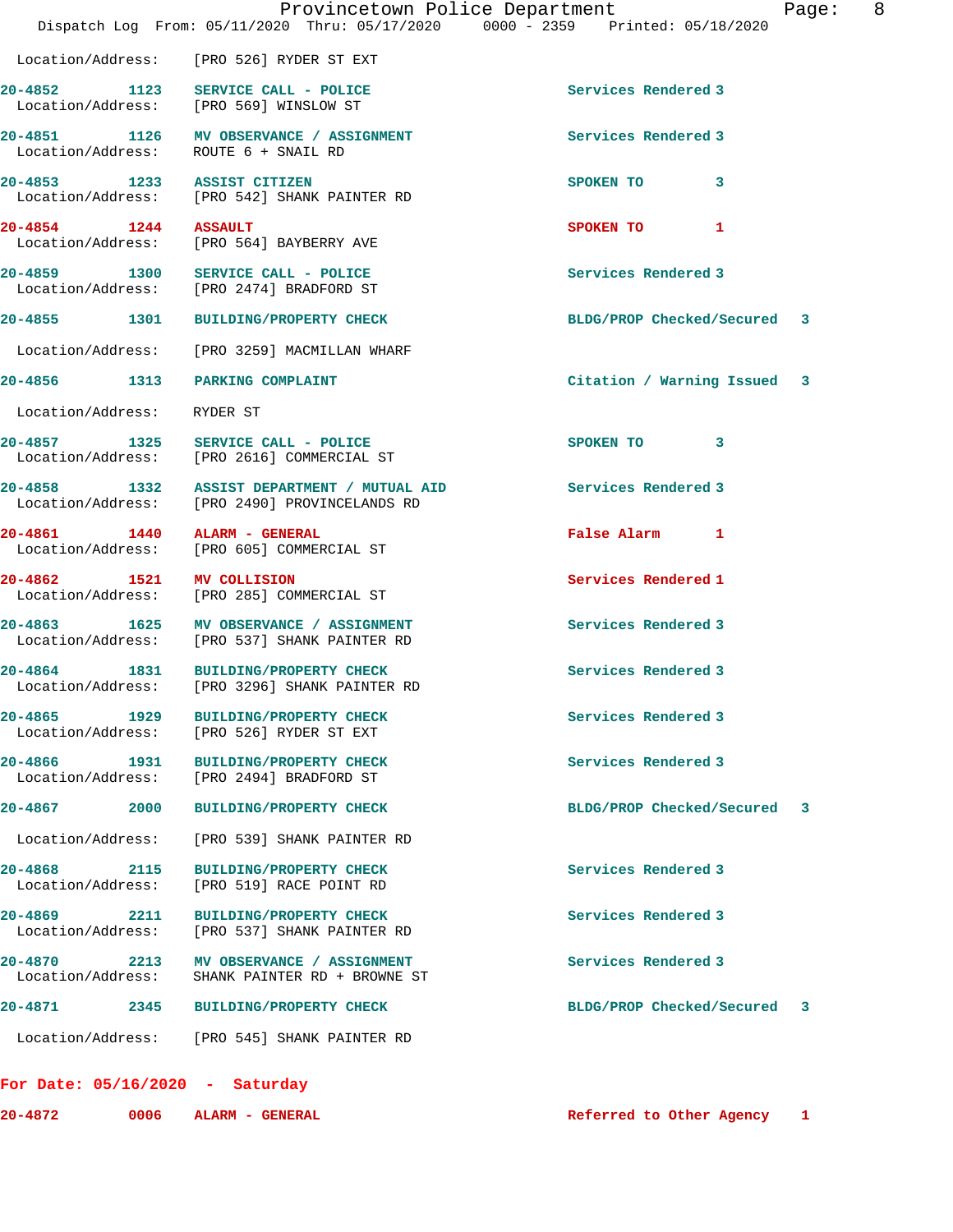|                                          | Provincetown Police Department<br>Dispatch Log From: 05/11/2020 Thru: 05/17/2020 0000 - 2359 Printed: 05/18/2020 | Page:                           | 8 |
|------------------------------------------|------------------------------------------------------------------------------------------------------------------|---------------------------------|---|
|                                          | Location/Address: [PRO 526] RYDER ST EXT                                                                         |                                 |   |
|                                          | 20-4852 1123 SERVICE CALL - POLICE<br>Location/Address: [PRO 569] WINSLOW ST                                     | Services Rendered 3             |   |
|                                          | 20-4851 1126 MV OBSERVANCE / ASSIGNMENT<br>Location/Address: ROUTE 6 + SNAIL RD                                  | Services Rendered 3             |   |
| 20-4853 1233 ASSIST CITIZEN              | Location/Address: [PRO 542] SHANK PAINTER RD                                                                     | SPOKEN TO 3                     |   |
| 20-4854 1244 ASSAULT                     | Location/Address: [PRO 564] BAYBERRY AVE                                                                         | SPOKEN TO 1                     |   |
|                                          | 20-4859 1300 SERVICE CALL - POLICE<br>Location/Address: [PRO 2474] BRADFORD ST                                   | Services Rendered 3             |   |
|                                          | 20-4855 1301 BUILDING/PROPERTY CHECK                                                                             | BLDG/PROP Checked/Secured 3     |   |
|                                          | Location/Address: [PRO 3259] MACMILLAN WHARF                                                                     |                                 |   |
| 20-4856 1313 PARKING COMPLAINT           |                                                                                                                  | Citation / Warning Issued 3     |   |
| Location/Address:                        | RYDER ST                                                                                                         |                                 |   |
|                                          | 20-4857 1325 SERVICE CALL - POLICE<br>Location/Address: [PRO 2616] COMMERCIAL ST                                 | SPOKEN TO 3                     |   |
|                                          | 20-4858 1332 ASSIST DEPARTMENT / MUTUAL AID<br>Location/Address: [PRO 2490] PROVINCELANDS RD                     | Services Rendered 3             |   |
| 20-4861 1440 ALARM - GENERAL             | Location/Address: [PRO 605] COMMERCIAL ST                                                                        | False Alarm 1                   |   |
| 20-4862 1521 MV COLLISION                | Location/Address: [PRO 285] COMMERCIAL ST                                                                        | Services Rendered 1             |   |
|                                          | 20-4863 1625 MV OBSERVANCE / ASSIGNMENT<br>Location/Address: [PRO 537] SHANK PAINTER RD                          | Services Rendered 3             |   |
| 1831<br>20-4864                          | <b>BUILDING/PROPERTY CHECK</b><br>Location/Address: [PRO 3296] SHANK PAINTER RD                                  | Services Rendered 3             |   |
| 20-4865<br>1929<br>Location/Address:     | <b>BUILDING/PROPERTY CHECK</b><br>[PRO 526] RYDER ST EXT                                                         | Services Rendered 3             |   |
|                                          | 20-4866 1931 BUILDING/PROPERTY CHECK<br>Location/Address: [PRO 2494] BRADFORD ST                                 | Services Rendered 3             |   |
| 20-4867 2000                             | <b>BUILDING/PROPERTY CHECK</b>                                                                                   | BLDG/PROP Checked/Secured<br>3  |   |
| Location/Address:                        | [PRO 539] SHANK PAINTER RD                                                                                       |                                 |   |
| 20-4868<br>2115<br>Location/Address:     | <b>BUILDING/PROPERTY CHECK</b><br>[PRO 519] RACE POINT RD                                                        | Services Rendered 3             |   |
| $20 - 4869$<br>2211<br>Location/Address: | BUILDING/PROPERTY CHECK<br>[PRO 537] SHANK PAINTER RD                                                            | Services Rendered 3             |   |
| 20-4870<br>2213<br>Location/Address:     | MV OBSERVANCE / ASSIGNMENT<br>SHANK PAINTER RD + BROWNE ST                                                       | Services Rendered 3             |   |
| 20-4871<br>2345                          | <b>BUILDING/PROPERTY CHECK</b>                                                                                   | BLDG/PROP Checked/Secured<br>-3 |   |
|                                          | Location/Address: [PRO 545] SHANK PAINTER RD                                                                     |                                 |   |

## **For Date: 05/16/2020 - Saturday**

| 20-4872 | 0006 | <b>ALA</b> |
|---------|------|------------|
|         |      |            |

**2007** ARM - GENERAL **ALARM - GENERAL**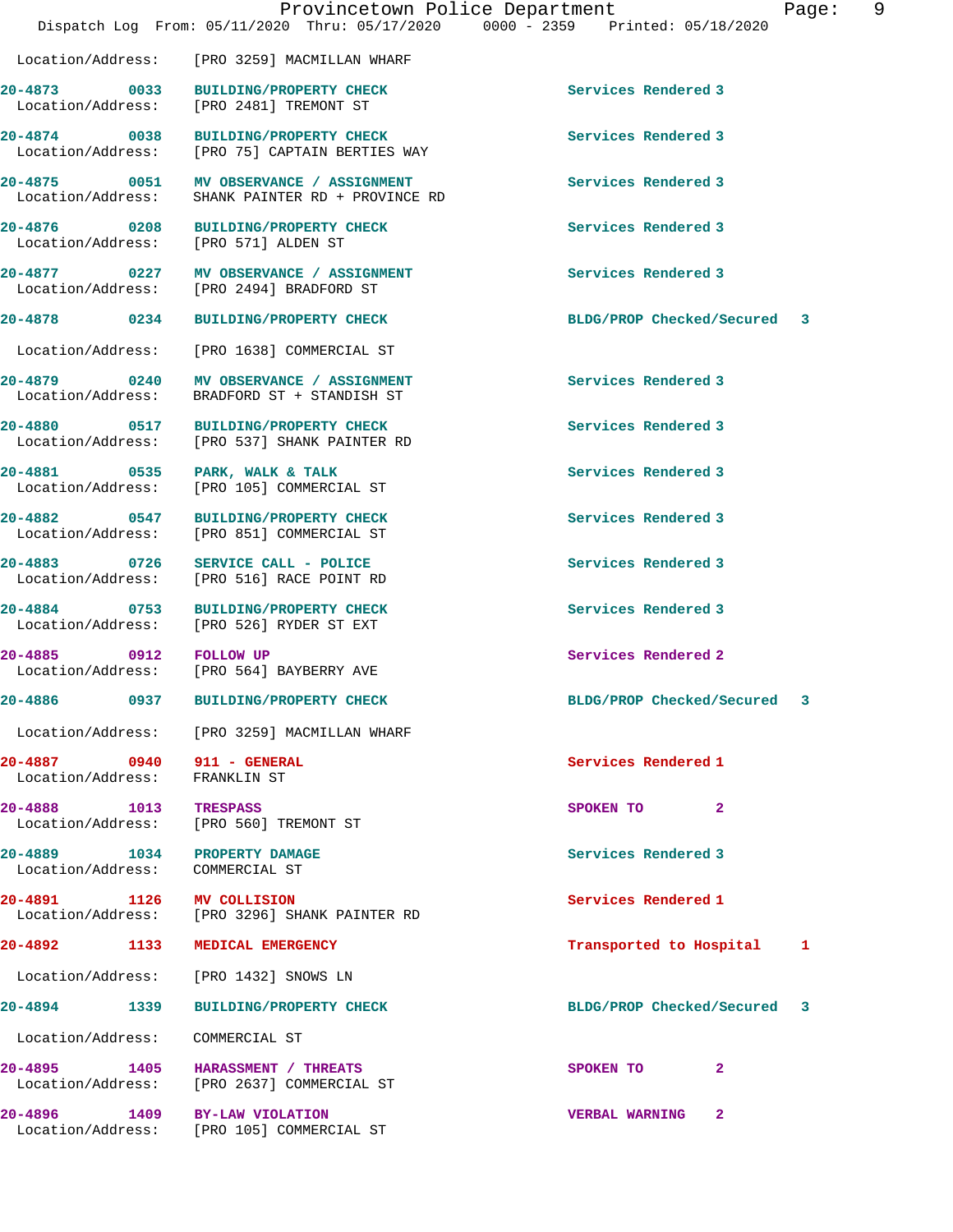|                                                                 | Provincetown Police Department<br>Dispatch Log From: 05/11/2020 Thru: 05/17/2020 0000 - 2359 Printed: 05/18/2020 |                                       | 9<br>Page: |
|-----------------------------------------------------------------|------------------------------------------------------------------------------------------------------------------|---------------------------------------|------------|
|                                                                 | Location/Address: [PRO 3259] MACMILLAN WHARF                                                                     |                                       |            |
|                                                                 | 20-4873 0033 BUILDING/PROPERTY CHECK<br>Location/Address: [PRO 2481] TREMONT ST                                  | Services Rendered 3                   |            |
| Location/Address:                                               | 20-4874 0038 BUILDING/PROPERTY CHECK<br>[PRO 75] CAPTAIN BERTIES WAY                                             | Services Rendered 3                   |            |
| Location/Address:                                               | 20-4875 0051 MV OBSERVANCE / ASSIGNMENT<br>SHANK PAINTER RD + PROVINCE RD                                        | Services Rendered 3                   |            |
|                                                                 | 20-4876 0208 BUILDING/PROPERTY CHECK<br>Location/Address: [PRO 571] ALDEN ST                                     | Services Rendered 3                   |            |
|                                                                 | 20-4877 0227 MV OBSERVANCE / ASSIGNMENT<br>Location/Address: [PRO 2494] BRADFORD ST                              | Services Rendered 3                   |            |
| 20-4878 0234                                                    | <b>BUILDING/PROPERTY CHECK</b>                                                                                   | BLDG/PROP Checked/Secured 3           |            |
| Location/Address:                                               | [PRO 1638] COMMERCIAL ST                                                                                         |                                       |            |
| 20-4879 0240<br>Location/Address:                               | MV OBSERVANCE / ASSIGNMENT<br>BRADFORD ST + STANDISH ST                                                          | Services Rendered 3                   |            |
|                                                                 | 20-4880 0517 BUILDING/PROPERTY CHECK<br>Location/Address: [PRO 537] SHANK PAINTER RD                             | Services Rendered 3                   |            |
| Location/Address:                                               | 20-4881 0535 PARK, WALK & TALK<br>[PRO 105] COMMERCIAL ST                                                        | Services Rendered 3                   |            |
|                                                                 | 20-4882 0547 BUILDING/PROPERTY CHECK<br>Location/Address: [PRO 851] COMMERCIAL ST                                | Services Rendered 3                   |            |
|                                                                 | 20-4883 0726 SERVICE CALL - POLICE<br>Location/Address: [PRO 516] RACE POINT RD                                  | Services Rendered 3                   |            |
|                                                                 | 20-4884 0753 BUILDING/PROPERTY CHECK<br>Location/Address: [PRO 526] RYDER ST EXT                                 | Services Rendered 3                   |            |
| 20-4885 0912 FOLLOW UP                                          | Location/Address: [PRO 564] BAYBERRY AVE                                                                         | Services Rendered 2                   |            |
| 20-4886                                                         | 0937 BUILDING/PROPERTY CHECK                                                                                     | BLDG/PROP Checked/Secured 3           |            |
|                                                                 | Location/Address: [PRO 3259] MACMILLAN WHARF                                                                     |                                       |            |
| 20-4887 0940 911 - GENERAL<br>Location/Address: FRANKLIN ST     |                                                                                                                  | Services Rendered 1                   |            |
| 20-4888 1013 TRESPASS                                           | Location/Address: [PRO 560] TREMONT ST                                                                           | SPOKEN TO 2                           |            |
| 20-4889 1034 PROPERTY DAMAGE<br>Location/Address: COMMERCIAL ST |                                                                                                                  | Services Rendered 3                   |            |
| 20-4891 1126 MV COLLISION                                       | Location/Address: [PRO 3296] SHANK PAINTER RD                                                                    | Services Rendered 1                   |            |
| 20-4892 1133                                                    | MEDICAL EMERGENCY                                                                                                | Transported to Hospital               | 1          |
|                                                                 | Location/Address: [PRO 1432] SNOWS LN                                                                            |                                       |            |
| 20-4894 1339                                                    | <b>BUILDING/PROPERTY CHECK</b>                                                                                   | BLDG/PROP Checked/Secured 3           |            |
| Location/Address:                                               | COMMERCIAL ST                                                                                                    |                                       |            |
|                                                                 | 20-4895 1405 HARASSMENT / THREATS<br>Location/Address: [PRO 2637] COMMERCIAL ST                                  | $\mathbf{2}$<br>SPOKEN TO             |            |
|                                                                 | 20-4896 1409 BY-LAW VIOLATION<br>Location/Address: [PRO 105] COMMERCIAL ST                                       | $\mathbf{2}$<br><b>VERBAL WARNING</b> |            |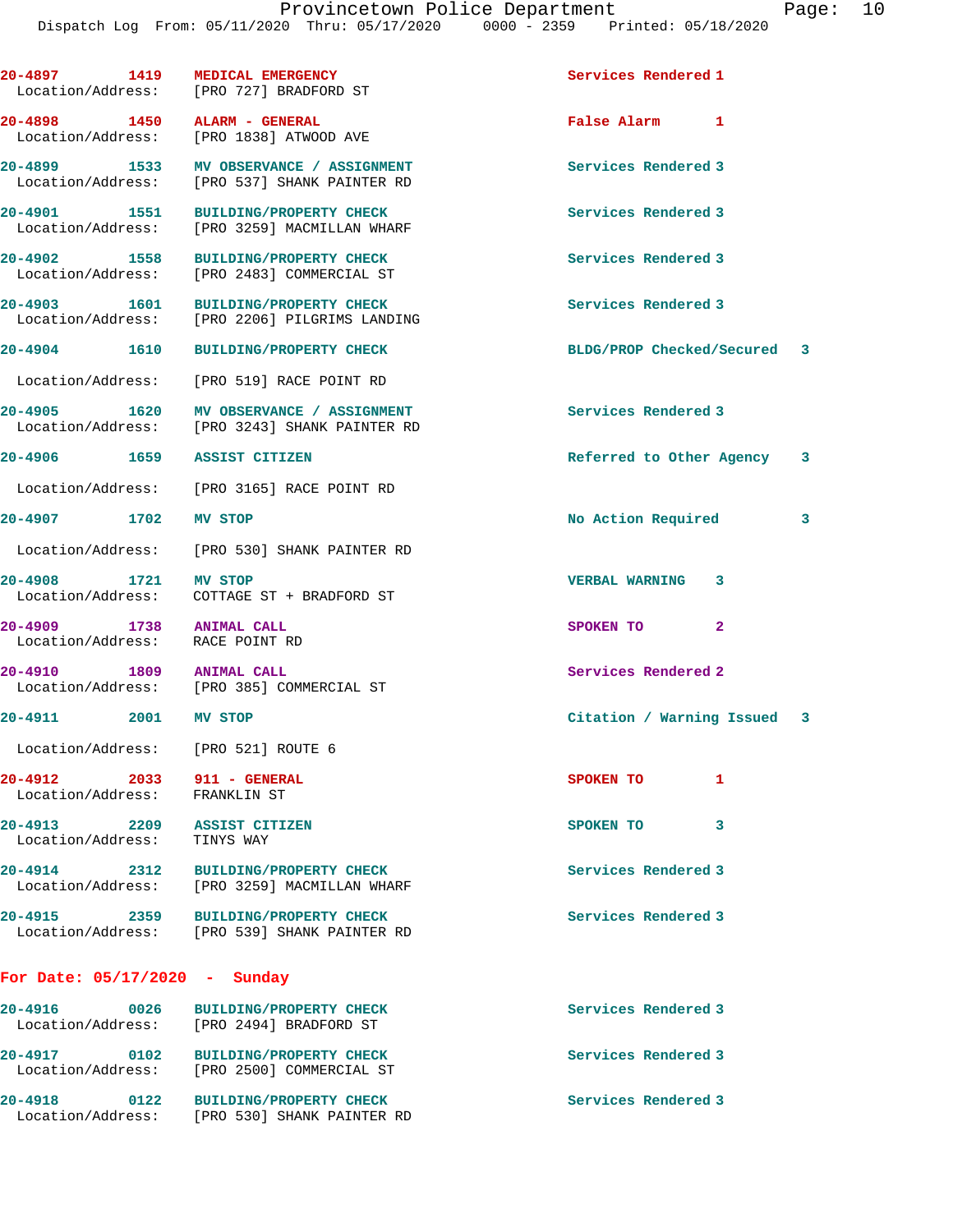| 20-4897 1419                                                | <b>MEDICAL EMERGENCY</b><br>Location/Address: [PRO 727] BRADFORD ST                  | Services Rendered 1         |
|-------------------------------------------------------------|--------------------------------------------------------------------------------------|-----------------------------|
| 20-4898 1450 ALARM - GENERAL                                | Location/Address: [PRO 1838] ATWOOD AVE                                              | False Alarm 1               |
| Location/Address:                                           | 20-4899 1533 MV OBSERVANCE / ASSIGNMENT<br>[PRO 537] SHANK PAINTER RD                | Services Rendered 3         |
|                                                             | 20-4901 1551 BUILDING/PROPERTY CHECK<br>Location/Address: [PRO 3259] MACMILLAN WHARF | Services Rendered 3         |
|                                                             | 20-4902 1558 BUILDING/PROPERTY CHECK<br>Location/Address: [PRO 2483] COMMERCIAL ST   | Services Rendered 3         |
| 20-4903 1601<br>Location/Address:                           | <b>BUILDING/PROPERTY CHECK</b><br>[PRO 2206] PILGRIMS LANDING                        | Services Rendered 3         |
|                                                             | 20-4904 1610 BUILDING/PROPERTY CHECK                                                 | BLDG/PROP Checked/Secured 3 |
|                                                             | Location/Address: [PRO 519] RACE POINT RD                                            |                             |
| 20-4905 1620<br>Location/Address:                           | <b>MV OBSERVANCE / ASSIGNMENT</b><br>[PRO 3243] SHANK PAINTER RD                     | Services Rendered 3         |
| 20-4906 1659 ASSIST CITIZEN                                 |                                                                                      | Referred to Other Agency 3  |
|                                                             | Location/Address: [PRO 3165] RACE POINT RD                                           |                             |
| 20-4907 1702 MV STOP                                        |                                                                                      | No Action Required<br>3     |
|                                                             | Location/Address: [PRO 530] SHANK PAINTER RD                                         |                             |
| 20-4908 1721                                                | MV STOP<br>Location/Address: COTTAGE ST + BRADFORD ST                                | <b>VERBAL WARNING 3</b>     |
| 20-4909 1738 ANIMAL CALL<br>Location/Address: RACE POINT RD |                                                                                      | SPOKEN TO<br>$\overline{2}$ |
| 20-4910 1809 ANIMAL CALL                                    | Location/Address: [PRO 385] COMMERCIAL ST                                            | Services Rendered 2         |
| 20-4911 2001 MV STOP                                        |                                                                                      | Citation / Warning Issued 3 |
| Location/Address: [PRO 521] ROUTE 6                         |                                                                                      |                             |
| 20-4912 2033 911 - GENERAL<br>Location/Address:             | FRANKLIN ST                                                                          | SPOKEN TO<br>1              |
| 20-4913 2209 ASSIST CITIZEN<br>Location/Address: TINYS WAY  |                                                                                      | SPOKEN TO<br>3              |
|                                                             | 20-4914 2312 BUILDING/PROPERTY CHECK<br>Location/Address: [PRO 3259] MACMILLAN WHARF | Services Rendered 3         |
|                                                             | 20-4915 2359 BUILDING/PROPERTY CHECK<br>Location/Address: [PRO 539] SHANK PAINTER RD | Services Rendered 3         |
| For Date: $05/17/2020$ - Sunday                             |                                                                                      |                             |
| 20-4916 0026                                                | <b>BUILDING/PROPERTY CHECK</b><br>Location/Address: [PRO 2494] BRADFORD ST           | Services Rendered 3         |
|                                                             | 20-4917 0102 BUILDING/PROPERTY CHECK<br>Location/Address: [PRO 2500] COMMERCIAL ST   | Services Rendered 3         |
|                                                             | 20-4918 0122 BUILDING/PROPERTY CHECK<br>Location/Address: [PRO 530] SHANK PAINTER RD | Services Rendered 3         |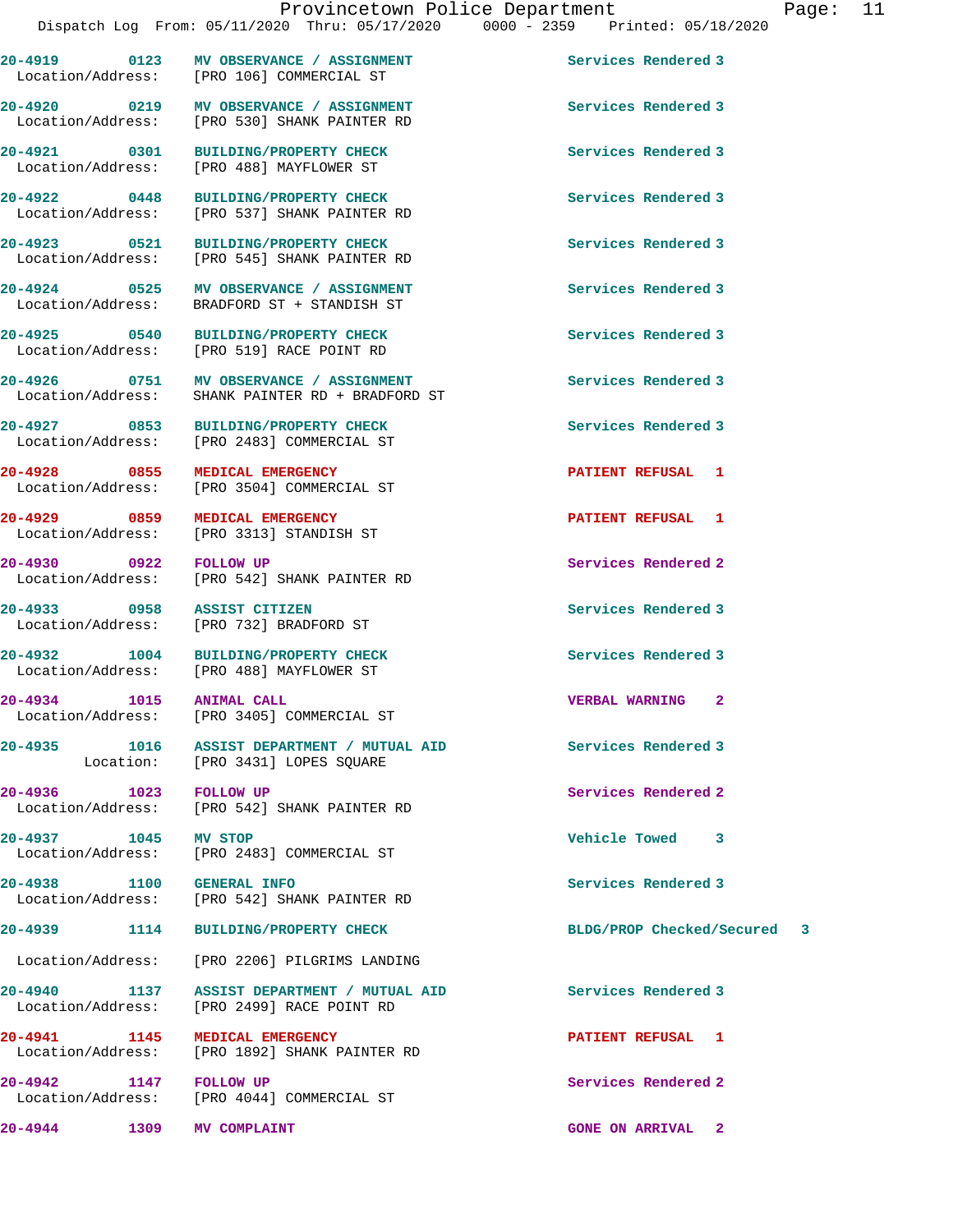**20-4919 0123 MV OBSERVANCE / ASSIGNMENT Services Rendered 3**  Location/Address: [PRO 106] COMMERCIAL ST 20-4920 **0219** MV OBSERVANCE / ASSIGNMENT **Services Rendered 3** Location/Address: [PRO 530] SHANK PAINTER RD

**20-4921 0301 BUILDING/PROPERTY CHECK Services Rendered 3** 

**20-4922 0448 BUILDING/PROPERTY CHECK Services Rendered 3**  [PRO 537] SHANK PAINTER RD

**20-4923 0521 BUILDING/PROPERTY CHECK Services Rendered 3**  Location/Address: [PRO 545] SHANK PAINTER RD

**20-4924 0525 MV OBSERVANCE / ASSIGNMENT Services Rendered 3**  Location/Address: BRADFORD ST + STANDISH ST

**20-4925 0540 BUILDING/PROPERTY CHECK Services Rendered 3** 

Location/Address: SHANK PAINTER RD + BRADFORD ST

**20-4927 0853 BUILDING/PROPERTY CHECK Services Rendered 3**  Location/Address: [PRO 2483] COMMERCIAL ST

**20-4928 0855 MEDICAL EMERGENCY PATIENT REFUSAL 1**  Location/Address: [PRO 3504] COMMERCIAL ST

**20-4929 0859 MEDICAL EMERGENCY PATIENT REFUSAL 1**  Location/Address: [PRO 3313] STANDISH ST

**20-4930 0922 FOLLOW UP Services Rendered 2**<br>
Location/Address: [PRO 542] SHANK PAINTER RD [PRO 542] SHANK PAINTER RD

Location/Address: [PRO 732] BRADFORD ST

20-4932 1004 BUILDING/PROPERTY CHECK Services Rendered 3<br>
Location/Address: [PRO 488] MAYFLOWER ST [PRO 488] MAYFLOWER ST

**20-4934 1015 ANIMAL CALL VERBAL WARNING 2**  Location/Address: [PRO 3405] COMMERCIAL ST

**20-4935 1016 ASSIST DEPARTMENT / MUTUAL AID Services Rendered 3**  Location: [PRO 3431] LOPES SQUARE

**20-4936 1023 FOLLOW UP Services Rendered 2**  Location/Address: [PRO 542] SHANK PAINTER RD

**20-4937 1045 MV STOP Vehicle Towed 3**  [PRO 2483] COMMERCIAL ST

**20-4938 1100 GENERAL INFO Services Rendered 3**  Location/Address: [PRO 542] SHANK PAINTER RD

Location/Address: [PRO 4044] COMMERCIAL ST

**20-4926 0751 MV OBSERVANCE / ASSIGNMENT Services Rendered 3** 

**20-4939 1114 BUILDING/PROPERTY CHECK BLDG/PROP Checked/Secured 3**

**20-4944 1309 MV COMPLAINT GONE ON ARRIVAL 2** 

# Location/Address: [PRO 488] MAYFLOWER ST

Location/Address:

**20-4933 0958 ASSIST CITIZEN Services Rendered 3** 

## **20-4942 1147 FOLLOW UP Services Rendered 2**

Location/Address: [PRO 2206] PILGRIMS LANDING

**20-4940 1137 ASSIST DEPARTMENT / MUTUAL AID Services Rendered 3**  Location/Address: [PRO 2499] RACE POINT RD

**20-4941 1145 MEDICAL EMERGENCY PATIENT REFUSAL 1**  Location/Address: [PRO 1892] SHANK PAINTER RD